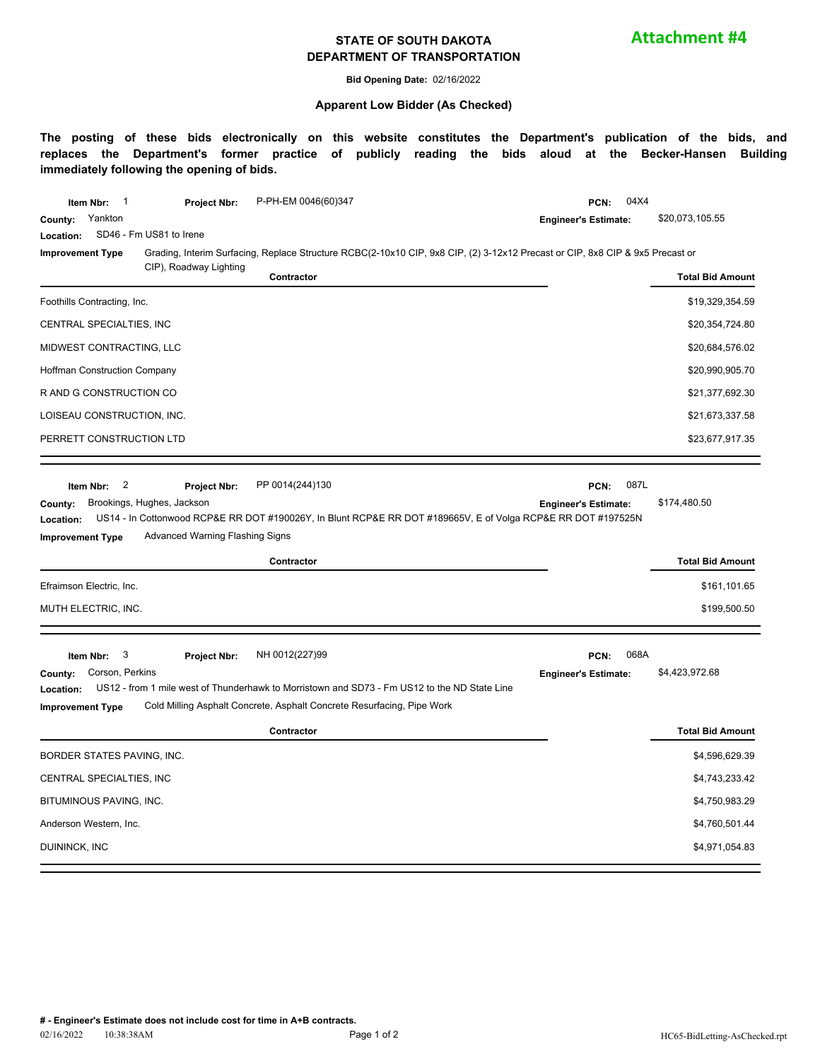#### **STATE OF SOUTH DAKOTA DEPARTMENT OF TRANSPORTATION**

**Attachment #4**

**Bid Opening Date:** 02/16/2022

#### **Apparent Low Bidder (As Checked)**

**The posting of these bids electronically on this website constitutes the Department's publication of the bids, and replaces the Department's former practice of publicly reading the bids aloud at the Becker-Hansen Building immediately following the opening of bids.**

| Yankton<br>\$20,073,105.55<br>County:<br><b>Engineer's Estimate:</b><br>SD46 - Fm US81 to Irene<br>Location:<br>Grading, Interim Surfacing, Replace Structure RCBC(2-10x10 CIP, 9x8 CIP, (2) 3-12x12 Precast or CIP, 8x8 CIP & 9x5 Precast or<br><b>Improvement Type</b><br>CIP), Roadway Lighting<br>Contractor<br><b>Total Bid Amount</b><br>Foothills Contracting, Inc.<br>\$19,329,354.59<br>\$20,354,724.80<br>CENTRAL SPECIALTIES, INC<br>MIDWEST CONTRACTING, LLC<br>\$20,684,576.02<br>\$20,990,905.70<br><b>Hoffman Construction Company</b><br>R AND G CONSTRUCTION CO<br>\$21,377,692.30<br>LOISEAU CONSTRUCTION, INC.<br>\$21,673,337.58<br>\$23,677,917.35<br>PERRETT CONSTRUCTION LTD<br>087L<br>$\overline{\mathbf{c}}$<br>PP 0014(244)130<br>Item Nbr:<br>PCN:<br><b>Project Nbr:</b><br>Brookings, Hughes, Jackson<br>\$174,480.50<br>County:<br><b>Engineer's Estimate:</b><br>US14 - In Cottonwood RCP&E RR DOT #190026Y, In Blunt RCP&E RR DOT #189665V, E of Volga RCP&E RR DOT #197525N<br>Location:<br>Advanced Warning Flashing Signs<br><b>Improvement Type</b><br><b>Total Bid Amount</b><br>Contractor<br>Efraimson Electric, Inc.<br>\$161,101.65<br>\$199,500.50<br>MUTH ELECTRIC, INC.<br>NH 0012(227)99<br>068A<br>3<br>PCN:<br>Item Nbr:<br><b>Project Nbr:</b><br>Corson, Perkins<br>\$4,423,972.68<br>County:<br><b>Engineer's Estimate:</b><br>US12 - from 1 mile west of Thunderhawk to Morristown and SD73 - Fm US12 to the ND State Line<br>Location:<br>Cold Milling Asphalt Concrete, Asphalt Concrete Resurfacing, Pipe Work<br><b>Improvement Type</b><br><b>Total Bid Amount</b><br>Contractor<br>BORDER STATES PAVING, INC.<br>\$4,596,629.39<br>CENTRAL SPECIALTIES, INC<br>\$4,743,233.42<br>BITUMINOUS PAVING, INC.<br>\$4,750,983.29<br>\$4,760,501.44<br>Anderson Western, Inc. | Project Nbr: | P-PH-EM 0046(60)347 | 04X4<br>PCN: |  |  |
|----------------------------------------------------------------------------------------------------------------------------------------------------------------------------------------------------------------------------------------------------------------------------------------------------------------------------------------------------------------------------------------------------------------------------------------------------------------------------------------------------------------------------------------------------------------------------------------------------------------------------------------------------------------------------------------------------------------------------------------------------------------------------------------------------------------------------------------------------------------------------------------------------------------------------------------------------------------------------------------------------------------------------------------------------------------------------------------------------------------------------------------------------------------------------------------------------------------------------------------------------------------------------------------------------------------------------------------------------------------------------------------------------------------------------------------------------------------------------------------------------------------------------------------------------------------------------------------------------------------------------------------------------------------------------------------------------------------------------------------------------------------------------------------------------------------------------------|--------------|---------------------|--------------|--|--|
|                                                                                                                                                                                                                                                                                                                                                                                                                                                                                                                                                                                                                                                                                                                                                                                                                                                                                                                                                                                                                                                                                                                                                                                                                                                                                                                                                                                                                                                                                                                                                                                                                                                                                                                                                                                                                                  |              |                     |              |  |  |
|                                                                                                                                                                                                                                                                                                                                                                                                                                                                                                                                                                                                                                                                                                                                                                                                                                                                                                                                                                                                                                                                                                                                                                                                                                                                                                                                                                                                                                                                                                                                                                                                                                                                                                                                                                                                                                  |              |                     |              |  |  |
|                                                                                                                                                                                                                                                                                                                                                                                                                                                                                                                                                                                                                                                                                                                                                                                                                                                                                                                                                                                                                                                                                                                                                                                                                                                                                                                                                                                                                                                                                                                                                                                                                                                                                                                                                                                                                                  |              |                     |              |  |  |
|                                                                                                                                                                                                                                                                                                                                                                                                                                                                                                                                                                                                                                                                                                                                                                                                                                                                                                                                                                                                                                                                                                                                                                                                                                                                                                                                                                                                                                                                                                                                                                                                                                                                                                                                                                                                                                  |              |                     |              |  |  |
|                                                                                                                                                                                                                                                                                                                                                                                                                                                                                                                                                                                                                                                                                                                                                                                                                                                                                                                                                                                                                                                                                                                                                                                                                                                                                                                                                                                                                                                                                                                                                                                                                                                                                                                                                                                                                                  |              |                     |              |  |  |
|                                                                                                                                                                                                                                                                                                                                                                                                                                                                                                                                                                                                                                                                                                                                                                                                                                                                                                                                                                                                                                                                                                                                                                                                                                                                                                                                                                                                                                                                                                                                                                                                                                                                                                                                                                                                                                  |              |                     |              |  |  |
|                                                                                                                                                                                                                                                                                                                                                                                                                                                                                                                                                                                                                                                                                                                                                                                                                                                                                                                                                                                                                                                                                                                                                                                                                                                                                                                                                                                                                                                                                                                                                                                                                                                                                                                                                                                                                                  |              |                     |              |  |  |
|                                                                                                                                                                                                                                                                                                                                                                                                                                                                                                                                                                                                                                                                                                                                                                                                                                                                                                                                                                                                                                                                                                                                                                                                                                                                                                                                                                                                                                                                                                                                                                                                                                                                                                                                                                                                                                  |              |                     |              |  |  |
|                                                                                                                                                                                                                                                                                                                                                                                                                                                                                                                                                                                                                                                                                                                                                                                                                                                                                                                                                                                                                                                                                                                                                                                                                                                                                                                                                                                                                                                                                                                                                                                                                                                                                                                                                                                                                                  |              |                     |              |  |  |
|                                                                                                                                                                                                                                                                                                                                                                                                                                                                                                                                                                                                                                                                                                                                                                                                                                                                                                                                                                                                                                                                                                                                                                                                                                                                                                                                                                                                                                                                                                                                                                                                                                                                                                                                                                                                                                  |              |                     |              |  |  |
|                                                                                                                                                                                                                                                                                                                                                                                                                                                                                                                                                                                                                                                                                                                                                                                                                                                                                                                                                                                                                                                                                                                                                                                                                                                                                                                                                                                                                                                                                                                                                                                                                                                                                                                                                                                                                                  |              |                     |              |  |  |
|                                                                                                                                                                                                                                                                                                                                                                                                                                                                                                                                                                                                                                                                                                                                                                                                                                                                                                                                                                                                                                                                                                                                                                                                                                                                                                                                                                                                                                                                                                                                                                                                                                                                                                                                                                                                                                  |              |                     |              |  |  |
|                                                                                                                                                                                                                                                                                                                                                                                                                                                                                                                                                                                                                                                                                                                                                                                                                                                                                                                                                                                                                                                                                                                                                                                                                                                                                                                                                                                                                                                                                                                                                                                                                                                                                                                                                                                                                                  |              |                     |              |  |  |
|                                                                                                                                                                                                                                                                                                                                                                                                                                                                                                                                                                                                                                                                                                                                                                                                                                                                                                                                                                                                                                                                                                                                                                                                                                                                                                                                                                                                                                                                                                                                                                                                                                                                                                                                                                                                                                  |              |                     |              |  |  |
|                                                                                                                                                                                                                                                                                                                                                                                                                                                                                                                                                                                                                                                                                                                                                                                                                                                                                                                                                                                                                                                                                                                                                                                                                                                                                                                                                                                                                                                                                                                                                                                                                                                                                                                                                                                                                                  |              |                     |              |  |  |
|                                                                                                                                                                                                                                                                                                                                                                                                                                                                                                                                                                                                                                                                                                                                                                                                                                                                                                                                                                                                                                                                                                                                                                                                                                                                                                                                                                                                                                                                                                                                                                                                                                                                                                                                                                                                                                  |              |                     |              |  |  |
|                                                                                                                                                                                                                                                                                                                                                                                                                                                                                                                                                                                                                                                                                                                                                                                                                                                                                                                                                                                                                                                                                                                                                                                                                                                                                                                                                                                                                                                                                                                                                                                                                                                                                                                                                                                                                                  |              |                     |              |  |  |
|                                                                                                                                                                                                                                                                                                                                                                                                                                                                                                                                                                                                                                                                                                                                                                                                                                                                                                                                                                                                                                                                                                                                                                                                                                                                                                                                                                                                                                                                                                                                                                                                                                                                                                                                                                                                                                  |              |                     |              |  |  |
|                                                                                                                                                                                                                                                                                                                                                                                                                                                                                                                                                                                                                                                                                                                                                                                                                                                                                                                                                                                                                                                                                                                                                                                                                                                                                                                                                                                                                                                                                                                                                                                                                                                                                                                                                                                                                                  |              |                     |              |  |  |
|                                                                                                                                                                                                                                                                                                                                                                                                                                                                                                                                                                                                                                                                                                                                                                                                                                                                                                                                                                                                                                                                                                                                                                                                                                                                                                                                                                                                                                                                                                                                                                                                                                                                                                                                                                                                                                  |              |                     |              |  |  |
| \$4,971,054.83<br>DUININCK, INC                                                                                                                                                                                                                                                                                                                                                                                                                                                                                                                                                                                                                                                                                                                                                                                                                                                                                                                                                                                                                                                                                                                                                                                                                                                                                                                                                                                                                                                                                                                                                                                                                                                                                                                                                                                                  |              |                     |              |  |  |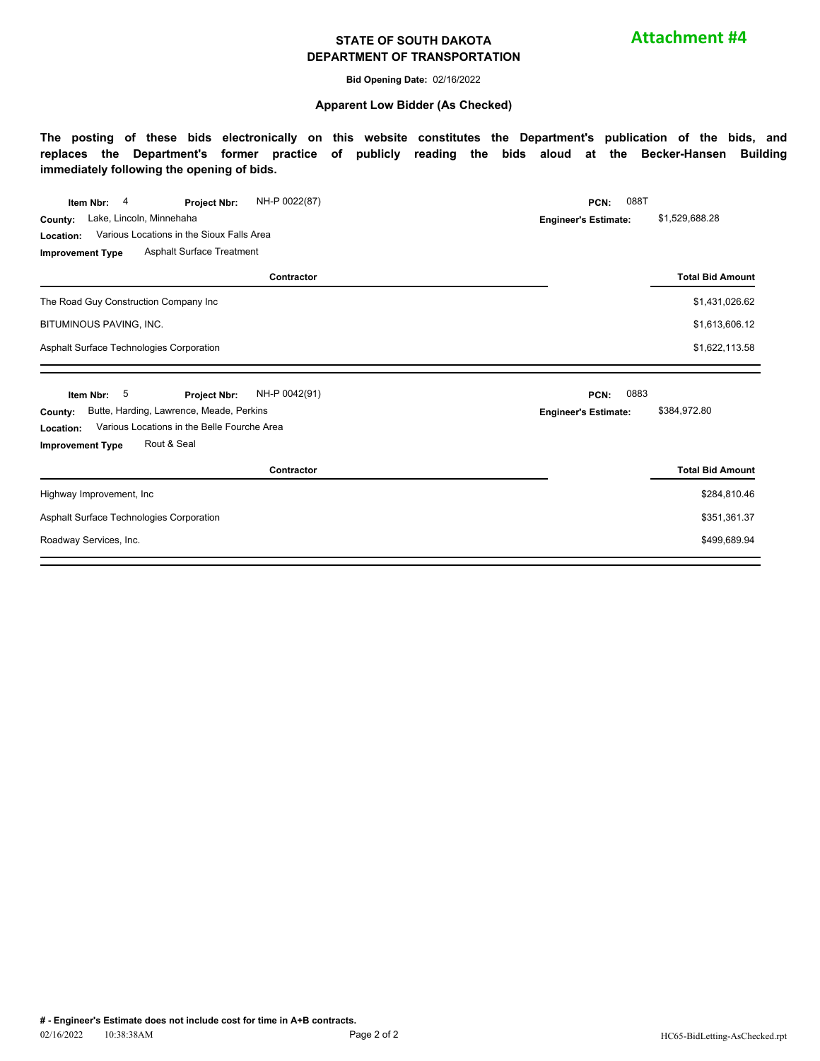#### **STATE OF SOUTH DAKOTA DEPARTMENT OF TRANSPORTATION**

**Attachment #4**

**Bid Opening Date:** 02/16/2022

#### **Apparent Low Bidder (As Checked)**

**The posting of these bids electronically on this website constitutes the Department's publication of the bids, and replaces the Department's former practice of publicly reading the bids aloud at the Becker-Hansen Building immediately following the opening of bids.**

| NH-P 0022(87)<br>4<br>Item Nbr:<br>Project Nbr:          | 088T<br>PCN:                |                         |  |  |
|----------------------------------------------------------|-----------------------------|-------------------------|--|--|
| Lake, Lincoln, Minnehaha<br>County:                      | <b>Engineer's Estimate:</b> | \$1,529,688.28          |  |  |
| Various Locations in the Sioux Falls Area<br>Location:   |                             |                         |  |  |
| Asphalt Surface Treatment<br><b>Improvement Type</b>     |                             |                         |  |  |
| Contractor                                               |                             | <b>Total Bid Amount</b> |  |  |
| The Road Guy Construction Company Inc                    |                             | \$1,431,026.62          |  |  |
| BITUMINOUS PAVING, INC.                                  |                             | \$1,613,606.12          |  |  |
| Asphalt Surface Technologies Corporation                 | \$1,622,113.58              |                         |  |  |
|                                                          |                             |                         |  |  |
| 5<br>NH-P 0042(91)<br>Item Nbr:<br><b>Project Nbr:</b>   | 0883<br>PCN:                |                         |  |  |
| Butte, Harding, Lawrence, Meade, Perkins<br>County:      | <b>Engineer's Estimate:</b> | \$384,972.80            |  |  |
| Various Locations in the Belle Fourche Area<br>Location: |                             |                         |  |  |
|                                                          |                             |                         |  |  |
| Rout & Seal<br><b>Improvement Type</b>                   |                             |                         |  |  |
| Contractor                                               |                             | <b>Total Bid Amount</b> |  |  |
| Highway Improvement, Inc.                                |                             | \$284,810.46            |  |  |
| Asphalt Surface Technologies Corporation                 |                             | \$351,361.37            |  |  |